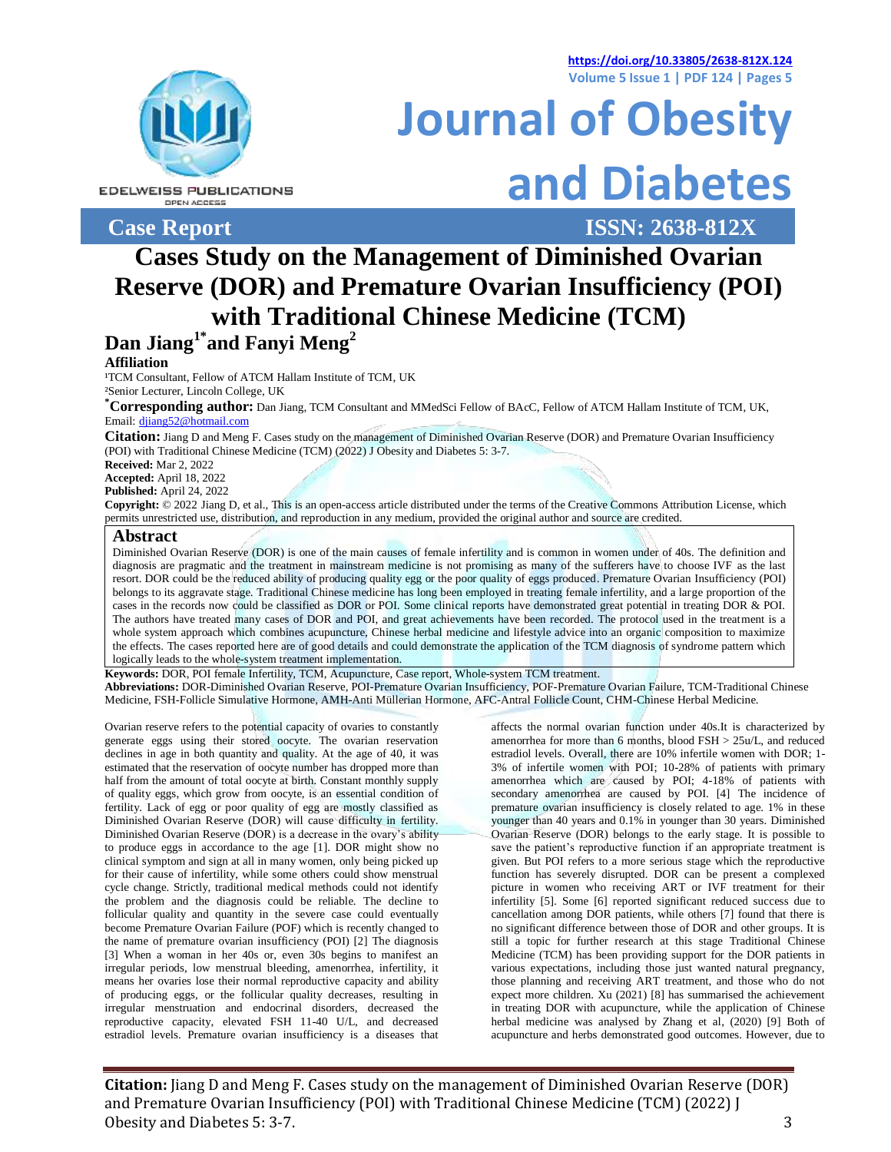**<https://doi.org/10.33805/2638-812X.124> Volume 5 Issue 1 | PDF 124 | Pages 5**



#### **EDELWEISS PUBLICATIONS** OPEN ACCESS

**Case Report ISSN: 2638-812X**

**Journal of Obesity and Diabetes**

**Cases Study on the Management of Diminished Ovarian Reserve (DOR) and Premature Ovarian Insufficiency (POI) with Traditional Chinese Medicine (TCM) Dan Jiang1\*and Fanyi Meng<sup>2</sup>**

## **Affiliation**

<sup>1</sup>TCM Consultant, Fellow of ATCM Hallam Institute of TCM, UK

²Senior Lecturer, Lincoln College, UK

**\*Corresponding author:** Dan Jiang, TCM Consultant and MMedSci Fellow of BAcC, Fellow of ATCM Hallam Institute of TCM, UK, Email: [djiang52@hotmail.com](mailto:djiang52@hotmail.co)

**Citation:** Jiang D and Meng F. Cases study on the management of Diminished Ovarian Reserve (DOR) and Premature Ovarian Insufficiency (POI) with Traditional Chinese Medicine (TCM) (2022) J Obesity and Diabetes 5: 3-7.

**Received:** Mar 2, 2022

**Accepted:** April 18, 2022

**Published:** April 24, 2022

**Copyright:** © 2022 Jiang D, et al., This is an open-access article distributed under the terms of the Creative Commons Attribution License, which permits unrestricted use, distribution, and reproduction in any medium, provided the original author and source are credited.

### **Abstract**

Diminished Ovarian Reserve (DOR) is one of the main causes of female infertility and is common in women under of 40s. The definition and diagnosis are pragmatic and the treatment in mainstream medicine is not promising as many of the sufferers have to choose IVF as the last resort. DOR could be the reduced ability of producing quality egg or the poor quality of eggs produced. Premature Ovarian Insufficiency (POI) belongs to its aggravate stage. Traditional Chinese medicine has long been employed in treating female infertility, and a large proportion of the cases in the records now could be classified as DOR or POI. Some clinical reports have demonstrated great potential in treating DOR & POI. The authors have treated many cases of DOR and POI, and great achievements have been recorded. The protocol used in the treatment is a whole system approach which combines acupuncture, Chinese herbal medicine and lifestyle advice into an organic composition to maximize the effects. The cases reported here are of good details and could demonstrate the application of the TCM diagnosis of syndrome pattern which logically leads to the whole-system treatment implementation.

**Keywords:** DOR, POI female Infertility, TCM, Acupuncture, Case report, Whole-system TCM treatment. **Abbreviations:** DOR-Diminished Ovarian Reserve, POI-Premature Ovarian Insufficiency, POF-Premature Ovarian Failure, TCM-Traditional Chinese Medicine, FSH-Follicle Simulative Hormone, AMH-Anti Müllerian Hormone, AFC-Antral Follicle Count, CHM-Chinese Herbal Medicine.

Ovarian reserve refers to the potential capacity of ovaries to constantly generate eggs using their stored oocyte. The ovarian reservation declines in age in both quantity and quality. At the age of 40, it was estimated that the reservation of oocyte number has dropped more than half from the amount of total oocyte at birth. Constant monthly supply of quality eggs, which grow from oocyte, is an essential condition of fertility. Lack of egg or poor quality of egg are mostly classified as Diminished Ovarian Reserve (DOR) will cause difficulty in fertility. Diminished Ovarian Reserve (DOR) is a decrease in the ovary's ability to produce eggs in accordance to the age [1]. DOR might show no clinical symptom and sign at all in many women, only being picked up for their cause of infertility, while some others could show menstrual cycle change. Strictly, traditional medical methods could not identify the problem and the diagnosis could be reliable. The decline to follicular quality and quantity in the severe case could eventually become Premature Ovarian Failure (POF) which is recently changed to the name of premature ovarian insufficiency (POI) [2] The diagnosis [3] When a woman in her 40s or, even 30s begins to manifest an irregular periods, low menstrual bleeding, amenorrhea, infertility, it means her ovaries lose their normal reproductive capacity and ability of producing eggs, or the follicular quality decreases, resulting in irregular menstruation and endocrinal disorders, decreased the reproductive capacity, elevated FSH 11-40 U/L, and decreased estradiol levels. Premature ovarian insufficiency is a diseases that

affects the normal ovarian function under 40s.It is characterized by amenorrhea for more than 6 months, blood FSH > 25u/L, and reduced estradiol levels. Overall, there are 10% infertile women with DOR; 1- 3% of infertile women with POI; 10-28% of patients with primary amenorrhea which are caused by POI; 4-18% of patients with secondary amenorrhea are caused by POI. [4] The incidence of premature ovarian insufficiency is closely related to age. 1% in these younger than 40 years and 0.1% in younger than 30 years. Diminished Ovarian Reserve (DOR) belongs to the early stage. It is possible to save the patient's reproductive function if an appropriate treatment is given. But POI refers to a more serious stage which the reproductive function has severely disrupted. DOR can be present a complexed picture in women who receiving ART or IVF treatment for their infertility [5]. Some [6] reported significant reduced success due to cancellation among DOR patients, while others [7] found that there is no significant difference between those of DOR and other groups. It is still a topic for further research at this stage Traditional Chinese Medicine (TCM) has been providing support for the DOR patients in various expectations, including those just wanted natural pregnancy, those planning and receiving ART treatment, and those who do not expect more children. Xu (2021) [8] has summarised the achievement in treating DOR with acupuncture, while the application of Chinese herbal medicine was analysed by Zhang et al, (2020) [9] Both of acupuncture and herbs demonstrated good outcomes. However, due to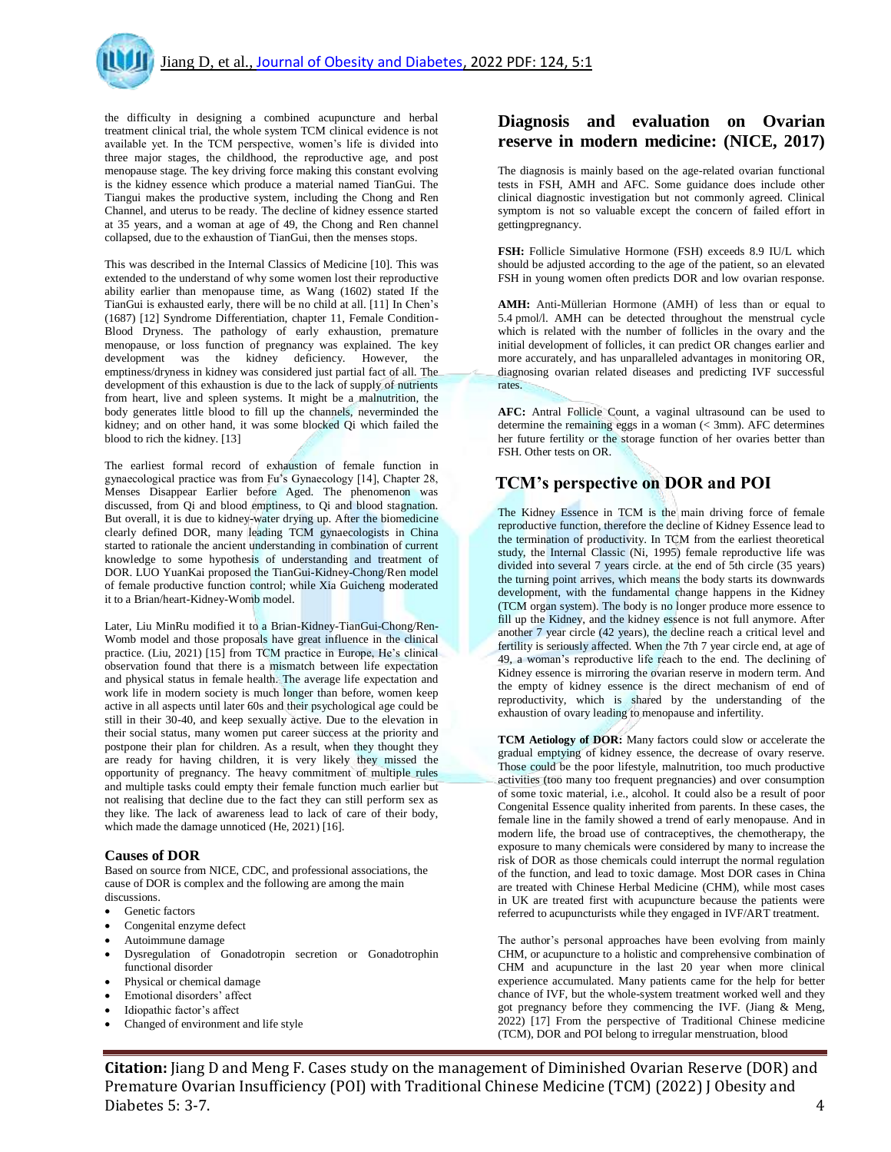the difficulty in designing a combined acupuncture and herbal treatment clinical trial, the whole system TCM clinical evidence is not available yet. In the TCM perspective, women's life is divided into three major stages, the childhood, the reproductive age, and post menopause stage. The key driving force making this constant evolving is the kidney essence which produce a material named TianGui. The Tiangui makes the productive system, including the Chong and Ren Channel, and uterus to be ready. The decline of kidney essence started at 35 years, and a woman at age of 49, the Chong and Ren channel collapsed, due to the exhaustion of TianGui, then the menses stops.

This was described in the Internal Classics of Medicine [10]. This was extended to the understand of why some women lost their reproductive ability earlier than menopause time, as Wang (1602) stated If the TianGui is exhausted early, there will be no child at all. [11] In Chen's (1687) [12] Syndrome Differentiation, chapter 11, Female Condition-Blood Dryness. The pathology of early exhaustion, premature menopause, or loss function of pregnancy was explained. The key development was the kidney deficiency. However, the emptiness/dryness in kidney was considered just partial fact of all. The development of this exhaustion is due to the lack of supply of nutrients from heart, live and spleen systems. It might be a malnutrition, the body generates little blood to fill up the channels, neverminded the kidney; and on other hand, it was some blocked Qi which failed the blood to rich the kidney. [13]

The earliest formal record of exhaustion of female function in gynaecological practice was from Fu's Gynaecology [14], Chapter 28, Menses Disappear Earlier before Aged. The phenomenon was discussed, from Qi and blood emptiness, to Qi and blood stagnation. But overall, it is due to kidney-water drying up. After the biomedicine clearly defined DOR, many leading TCM gynaecologists in China started to rationale the ancient understanding in combination of current knowledge to some hypothesis of understanding and treatment of DOR. LUO YuanKai proposed the TianGui-Kidney-Chong/Ren model of female productive function control; while Xia Guicheng moderated it to a Brian/heart-Kidney-Womb model.

Later, Liu MinRu modified it to a Brian-Kidney-TianGui-Chong/Ren-Womb model and those proposals have great influence in the clinical practice. (Liu, 2021) [15] from TCM practice in Europe, He's clinical observation found that there is a mismatch between life expectation and physical status in female health. The average life expectation and work life in modern society is much longer than before, women keep active in all aspects until later 60s and their psychological age could be still in their 30-40, and keep sexually active. Due to the elevation in their social status, many women put career success at the priority and postpone their plan for children. As a result, when they thought they are ready for having children, it is very likely they missed the opportunity of pregnancy. The heavy commitment of multiple rules and multiple tasks could empty their female function much earlier but not realising that decline due to the fact they can still perform sex as they like. The lack of awareness lead to lack of care of their body, which made the damage unnoticed (He, 2021) [16].

### **Causes of DOR**

Based on source from NICE, CDC, and professional associations, the cause of DOR is complex and the following are among the main discussions.

- Genetic factors
- Congenital enzyme defect
- Autoimmune damage
- Dysregulation of Gonadotropin secretion or Gonadotrophin functional disorder
- Physical or chemical damage
- Emotional disorders' affect
- Idiopathic factor's affect
- Changed of environment and life style

# **Diagnosis and evaluation on Ovarian reserve in modern medicine: (NICE, 2017)**

The diagnosis is mainly based on the age-related ovarian functional tests in FSH, AMH and AFC. Some guidance does include other clinical diagnostic investigation but not commonly agreed. Clinical symptom is not so valuable except the concern of failed effort in gettingpregnancy.

**FSH:** Follicle Simulative Hormone (FSH) exceeds 8.9 IU/L which should be adjusted according to the age of the patient, so an elevated FSH in young women often predicts DOR and low ovarian response.

**AMH:** Anti-Müllerian Hormone (AMH) of less than or equal to 5.4 pmol/l. AMH can be detected throughout the menstrual cycle which is related with the number of follicles in the ovary and the initial development of follicles, it can predict OR changes earlier and more accurately, and has unparalleled advantages in monitoring OR, diagnosing ovarian related diseases and predicting IVF successful rates.

**AFC:** Antral Follicle Count, a vaginal ultrasound can be used to determine the remaining eggs in a woman (< 3mm). AFC determines her future fertility or the storage function of her ovaries better than FSH. Other tests on OR.

# **TCM's perspective on DOR and POI**

The Kidney Essence in TCM is the main driving force of female reproductive function, therefore the decline of Kidney Essence lead to the termination of productivity. In TCM from the earliest theoretical study, the Internal Classic (Ni, 1995) female reproductive life was divided into several 7 years circle. at the end of 5th circle (35 years) the turning point arrives, which means the body starts its downwards development, with the fundamental change happens in the Kidney (TCM organ system). The body is no longer produce more essence to fill up the Kidney, and the kidney essence is not full anymore. After another 7 year circle (42 years), the decline reach a critical level and fertility is seriously affected. When the 7th 7 year circle end, at age of 49, a woman's reproductive life reach to the end. The declining of Kidney essence is mirroring the ovarian reserve in modern term. And the empty of kidney essence is the direct mechanism of end of reproductivity, which is shared by the understanding of the exhaustion of ovary leading to menopause and infertility.

**TCM Aetiology of DOR:** Many factors could slow or accelerate the gradual emptying of kidney essence, the decrease of ovary reserve. Those could be the poor lifestyle, malnutrition, too much productive activities (too many too frequent pregnancies) and over consumption of some toxic material, i.e., alcohol. It could also be a result of poor Congenital Essence quality inherited from parents. In these cases, the female line in the family showed a trend of early menopause. And in modern life, the broad use of contraceptives, the chemotherapy, the exposure to many chemicals were considered by many to increase the risk of DOR as those chemicals could interrupt the normal regulation of the function, and lead to toxic damage. Most DOR cases in China are treated with Chinese Herbal Medicine (CHM), while most cases in UK are treated first with acupuncture because the patients were referred to acupuncturists while they engaged in IVF/ART treatment.

The author's personal approaches have been evolving from mainly CHM, or acupuncture to a holistic and comprehensive combination of CHM and acupuncture in the last 20 year when more clinical experience accumulated. Many patients came for the help for better chance of IVF, but the whole-system treatment worked well and they got pregnancy before they commencing the IVF. (Jiang & Meng, 2022) [17] From the perspective of Traditional Chinese medicine (TCM), DOR and POI belong to irregular menstruation, blood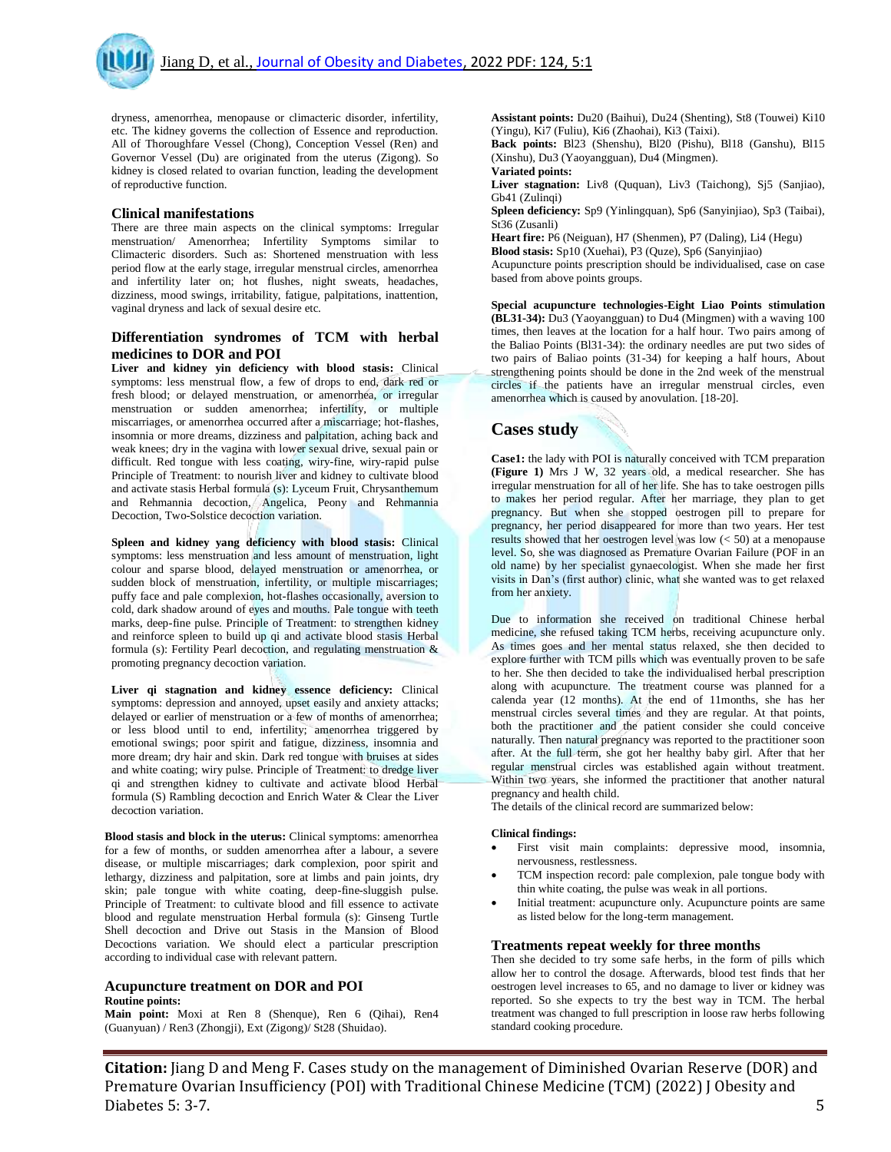dryness, amenorrhea, menopause or climacteric disorder, infertility, etc. The kidney governs the collection of Essence and reproduction. All of Thoroughfare Vessel (Chong), Conception Vessel (Ren) and Governor Vessel (Du) are originated from the uterus (Zigong). So kidney is closed related to ovarian function, leading the development of reproductive function.

#### **Clinical manifestations**

There are three main aspects on the clinical symptoms: Irregular menstruation/ Amenorrhea; Infertility Symptoms similar to Climacteric disorders. Such as: Shortened menstruation with less period flow at the early stage, irregular menstrual circles, amenorrhea and infertility later on; hot flushes, night sweats, headaches, dizziness, mood swings, irritability, fatigue, palpitations, inattention, vaginal dryness and lack of sexual desire etc.

### **Differentiation syndromes of TCM with herbal medicines to DOR and POI**

**Liver and kidney yin deficiency with blood stasis:** Clinical symptoms: less menstrual flow, a few of drops to end, dark red or fresh blood; or delayed menstruation, or amenorrhea, or irregular menstruation or sudden amenorrhea; infertility, or multiple miscarriages, or amenorrhea occurred after a miscarriage; hot-flashes, insomnia or more dreams, dizziness and palpitation, aching back and weak knees; dry in the vagina with lower sexual drive, sexual pain or difficult. Red tongue with less coating, wiry-fine, wiry-rapid pulse Principle of Treatment: to nourish liver and kidney to cultivate blood and activate stasis Herbal formula (s): Lyceum Fruit, Chrysanthemum and Rehmannia decoction, Angelica, Peony and Rehmannia Decoction, Two-Solstice decoction variation.

**Spleen and kidney yang deficiency with blood stasis:** Clinical symptoms: less menstruation and less amount of menstruation, light colour and sparse blood, delayed menstruation or amenorrhea, or sudden block of menstruation, infertility, or multiple miscarriages; puffy face and pale complexion, hot-flashes occasionally, aversion to cold, dark shadow around of eyes and mouths. Pale tongue with teeth marks, deep-fine pulse. Principle of Treatment: to strengthen kidney and reinforce spleen to build up qi and activate blood stasis Herbal formula (s): Fertility Pearl decoction, and regulating menstruation & promoting pregnancy decoction variation.

**Liver qi stagnation and kidney essence deficiency:** Clinical symptoms: depression and annoyed, upset easily and anxiety attacks; delayed or earlier of menstruation or a few of months of amenorrhea; or less blood until to end, infertility; amenorrhea triggered by emotional swings; poor spirit and fatigue, dizziness, insomnia and more dream; dry hair and skin. Dark red tongue with bruises at sides and white coating; wiry pulse. Principle of Treatment: to dredge liver qi and strengthen kidney to cultivate and activate blood Herbal formula (S) Rambling decoction and Enrich Water & Clear the Liver decoction variation.

**Blood stasis and block in the uterus:** Clinical symptoms: amenorrhea for a few of months, or sudden amenorrhea after a labour, a severe disease, or multiple miscarriages; dark complexion, poor spirit and lethargy, dizziness and palpitation, sore at limbs and pain joints, dry skin; pale tongue with white coating, deep-fine-sluggish pulse. Principle of Treatment: to cultivate blood and fill essence to activate blood and regulate menstruation Herbal formula (s): Ginseng Turtle Shell decoction and Drive out Stasis in the Mansion of Blood Decoctions variation. We should elect a particular prescription according to individual case with relevant pattern.

#### **Acupuncture treatment on DOR and POI Routine points:**

**Main point:** Moxi at Ren 8 (Shenque), Ren 6 (Qihai), Ren4 (Guanyuan) / Ren3 (Zhongji), Ext (Zigong)/ St28 (Shuidao).

**Assistant points:** Du20 (Baihui), Du24 (Shenting), St8 (Touwei) Ki10 (Yingu), Ki7 (Fuliu), Ki6 (Zhaohai), Ki3 (Taixi).

**Back points:** Bl23 (Shenshu), Bl20 (Pishu), Bl18 (Ganshu), Bl15 (Xinshu), Du3 (Yaoyangguan), Du4 (Mingmen). **Variated points:**

**Liver stagnation:** Liv8 (Ququan), Liv3 (Taichong), Sj5 (Sanjiao), Gb41 (Zulingi)

**Spleen deficiency:** Sp9 (Yinlingquan), Sp6 (Sanyinjiao), Sp3 (Taibai), St36 (Zusanli)

**Heart fire:** P6 (Neiguan), H7 (Shenmen), P7 (Daling), Li4 (Hegu)

**Blood stasis:** Sp10 (Xuehai), P3 (Quze), Sp6 (Sanyinjiao) Acupuncture points prescription should be individualised, case on case based from above points groups.

**Special acupuncture technologies-Eight Liao Points stimulation (BL31-34):** Du3 (Yaoyangguan) to Du4 (Mingmen) with a waving 100 times, then leaves at the location for a half hour. Two pairs among of the Baliao Points (Bl31-34): the ordinary needles are put two sides of two pairs of Baliao points (31-34) for keeping a half hours, About strengthening points should be done in the 2nd week of the menstrual circles if the patients have an irregular menstrual circles, even amenorrhea which is caused by anovulation. [18-20].

### **Cases study**

**Case1:** the lady with POI is naturally conceived with TCM preparation **(Figure 1)** Mrs J W, 32 years old, a medical researcher. She has irregular menstruation for all of her life. She has to take oestrogen pills to makes her period regular. After her marriage, they plan to get pregnancy. But when she stopped oestrogen pill to prepare for pregnancy, her period disappeared for more than two years. Her test results showed that her oestrogen level was low (< 50) at a menopause level. So, she was diagnosed as Premature Ovarian Failure (POF in an old name) by her specialist gynaecologist. When she made her first visits in Dan's (first author) clinic, what she wanted was to get relaxed from her anxiety.

Due to information she received on traditional Chinese herbal medicine, she refused taking TCM herbs, receiving acupuncture only. As times goes and her mental status relaxed, she then decided to explore further with TCM pills which was eventually proven to be safe to her. She then decided to take the individualised herbal prescription along with acupuncture. The treatment course was planned for a calenda year (12 months). At the end of 11months, she has her menstrual circles several times and they are regular. At that points, both the practitioner and the patient consider she could conceive naturally. Then natural pregnancy was reported to the practitioner soon after. At the full term, she got her healthy baby girl. After that her regular menstrual circles was established again without treatment. Within two years, she informed the practitioner that another natural pregnancy and health child.

The details of the clinical record are summarized below:

#### **Clinical findings:**

- First visit main complaints: depressive mood, insomnia, nervousness, restlessness.
- TCM inspection record: pale complexion, pale tongue body with thin white coating, the pulse was weak in all portions.
- Initial treatment: acupuncture only. Acupuncture points are same as listed below for the long-term management.

### **Treatments repeat weekly for three months**

Then she decided to try some safe herbs, in the form of pills which allow her to control the dosage. Afterwards, blood test finds that her oestrogen level increases to 65, and no damage to liver or kidney was reported. So she expects to try the best way in TCM. The herbal treatment was changed to full prescription in loose raw herbs following standard cooking procedure.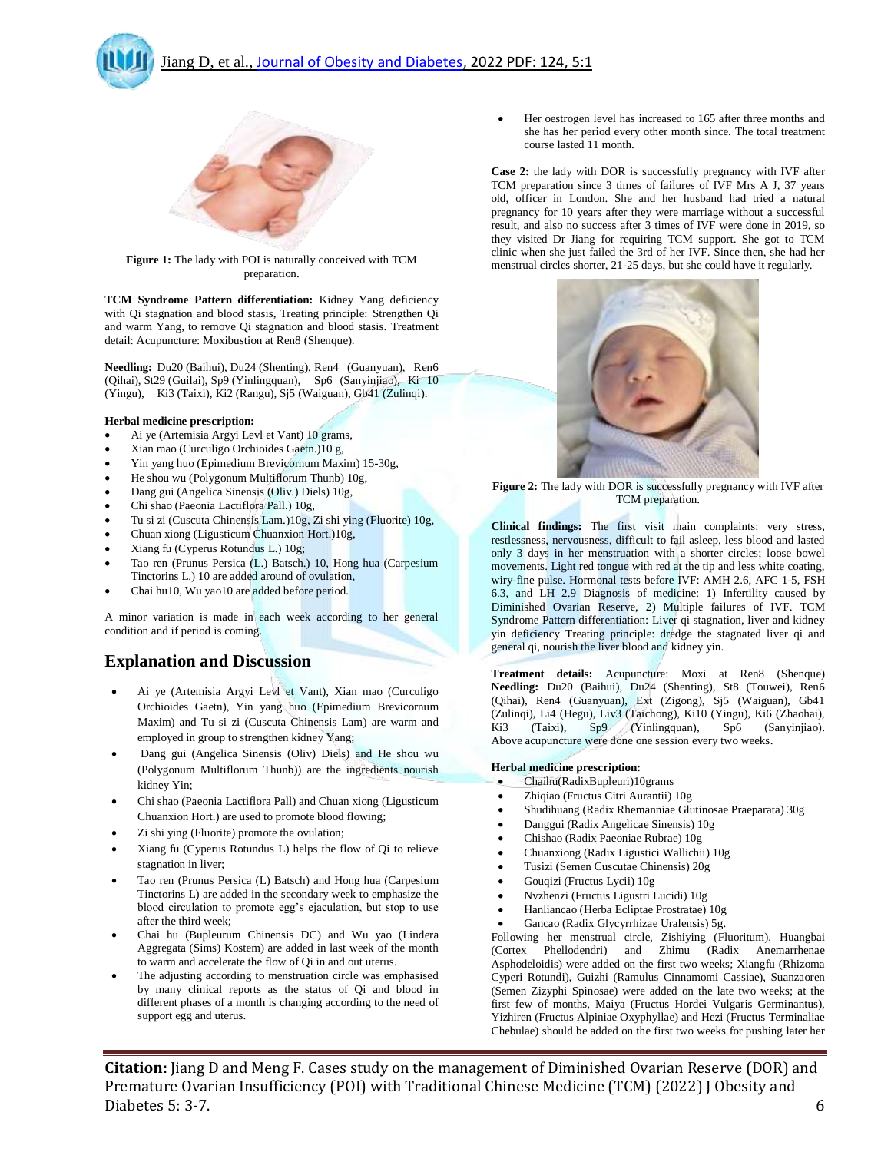



**Figure 1:** The lady with POI is naturally conceived with TCM preparation.

**TCM Syndrome Pattern differentiation:** Kidney Yang deficiency with Qi stagnation and blood stasis, Treating principle: Strengthen Qi and warm Yang, to remove Qi stagnation and blood stasis. Treatment detail: Acupuncture: Moxibustion at Ren8 (Shenque).

**Needling:** Du20 (Baihui), Du24 (Shenting), Ren4 (Guanyuan), Ren6 (Qihai), St29 (Guilai), Sp9 (Yinlingquan), Sp6 (Sanyinjiao), Ki 10 (Yingu), Ki3 (Taixi), Ki2 (Rangu), Sj5 (Waiguan), Gb41 (Zulinqi).

### **Herbal medicine prescription:**

- Ai ye (Artemisia Argyi Levl et Vant) 10 grams,
- Xian mao (Curculigo Orchioides Gaetn.)10 g,
- Yin yang huo (Epimedium Brevicornum Maxim) 15-30g,
- He shou wu (Polygonum Multiflorum Thunb) 10g,
- Dang gui (Angelica Sinensis (Oliv.) Diels) 10g,
- Chi shao (Paeonia Lactiflora Pall.) 10g,
- Tu si zi (Cuscuta Chinensis Lam.)10g, Zi shi ying (Fluorite) 10g,
- Chuan xiong (Ligusticum Chuanxion Hort.)10g,
- Xiang fu (Cyperus Rotundus L.) 10g;
- Tao ren (Prunus Persica (L.) Batsch.) 10, Hong hua (Carpesium Tinctorins L.) 10 are added around of ovulation,
- Chai hu10, Wu yao10 are added before period.

A minor variation is made in each week according to her general condition and if period is coming.

## **Explanation and Discussion**

- Ai ye (Artemisia Argyi Levl et Vant), Xian mao (Curculigo Orchioides Gaetn), Yin yang huo (Epimedium Brevicornum Maxim) and Tu si zi (Cuscuta Chinensis Lam) are warm and employed in group to strengthen kidney Yang;
- Dang gui (Angelica Sinensis (Oliv) Diels) and He shou wu (Polygonum Multiflorum Thunb)) are the ingredients nourish kidney Yin;
- Chi shao (Paeonia Lactiflora Pall) and Chuan xiong (Ligusticum Chuanxion Hort.) are used to promote blood flowing;
- Zi shi ying (Fluorite) promote the ovulation;
- Xiang fu (Cyperus Rotundus L) helps the flow of Qi to relieve stagnation in liver;
- Tao ren (Prunus Persica (L) Batsch) and Hong hua (Carpesium Tinctorins L) are added in the secondary week to emphasize the blood circulation to promote egg's ejaculation, but stop to use after the third week;
- Chai hu (Bupleurum Chinensis DC) and Wu yao (Lindera Aggregata (Sims) Kostem) are added in last week of the month to warm and accelerate the flow of Qi in and out uterus.
- The adjusting according to menstruation circle was emphasised by many clinical reports as the status of Qi and blood in different phases of a month is changing according to the need of support egg and uterus.

 Her oestrogen level has increased to 165 after three months and she has her period every other month since. The total treatment course lasted 11 month.

**Case 2:** the lady with DOR is successfully pregnancy with IVF after TCM preparation since 3 times of failures of IVF Mrs A J, 37 years old, officer in London. She and her husband had tried a natural pregnancy for 10 years after they were marriage without a successful result, and also no success after 3 times of IVF were done in 2019, so they visited Dr Jiang for requiring TCM support. She got to TCM clinic when she just failed the 3rd of her IVF. Since then, she had her menstrual circles shorter, 21-25 days, but she could have it regularly.



**Figure 2:** The lady with DOR is successfully pregnancy with IVF after TCM preparation.

**Clinical findings:** The first visit main complaints: very stress, restlessness, nervousness, difficult to fail asleep, less blood and lasted only 3 days in her menstruation with a shorter circles; loose bowel movements. Light red tongue with red at the tip and less white coating, wiry-fine pulse. Hormonal tests before IVF: AMH 2.6, AFC 1-5, FSH 6.3, and LH 2.9 Diagnosis of medicine: 1) Infertility caused by Diminished Ovarian Reserve, 2) Multiple failures of IVF. TCM Syndrome Pattern differentiation: Liver qi stagnation, liver and kidney yin deficiency Treating principle: dredge the stagnated liver qi and general qi, nourish the liver blood and kidney yin.

**Treatment details:** Acupuncture: Moxi at Ren8 (Shenque) **Needling:** Du20 (Baihui), Du24 (Shenting), St8 (Touwei), Ren6 (Qihai), Ren4 (Guanyuan), Ext (Zigong), Sj5 (Waiguan), Gb41 (Zulinqi), Li4 (Hegu), Liv3 (Taichong), Ki10 (Yingu), Ki6 (Zhaohai), Ki3 (Taixi), Sp9 (Yinlingquan), Sp6 (Sanyinjiao). Above acupuncture were done one session every two weeks.

### **Herbal medicine prescription:**

- Chaihu(RadixBupleuri)10grams
- Zhiqiao (Fructus Citri Aurantii) 10g
- Shudihuang (Radix Rhemanniae Glutinosae Praeparata) 30g
- Danggui (Radix Angelicae Sinensis) 10g
- Chishao (Radix Paeoniae Rubrae) 10g
- Chuanxiong (Radix Ligustici Wallichii) 10g
- Tusizi (Semen Cuscutae Chinensis) 20g
- Gouqizi (Fructus Lycii) 10g
- Nvzhenzi (Fructus Ligustri Lucidi) 10g
- Hanliancao (Herba Ecliptae Prostratae) 10g
- Gancao (Radix Glycyrrhizae Uralensis) 5g.

Following her menstrual circle, Zishiying (Fluoritum), Huangbai (Cortex Phellodendri) and Zhimu (Radix Anemarrhenae Asphodeloidis) were added on the first two weeks; Xiangfu (Rhizoma Cyperi Rotundi), Guizhi (Ramulus Cinnamomi Cassiae), Suanzaoren (Semen Zizyphi Spinosae) were added on the late two weeks; at the first few of months, Maiya (Fructus Hordei Vulgaris Germinantus), Yizhiren (Fructus Alpiniae Oxyphyllae) and Hezi (Fructus Terminaliae Chebulae) should be added on the first two weeks for pushing later her